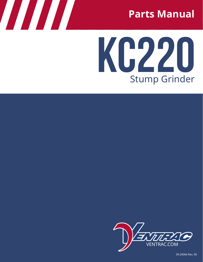

# **KC220** Stump Grinder



09.20066 Rev. 00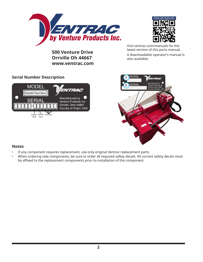



**500 Venture Drive Orrville Oh 44667 www.ventrac.com** Visit ventrac.com/manuals for the latest version of this parts manual. A downloadable operator's manual is also available.

#### **Serial Number Description**





#### **Notes**

- If any component requires replacement, use only original Ventrac replacement parts.
- When ordering new components, be sure to order all required safety decals. All current safety decals must be affixed to the replacement components prior to installation of the component.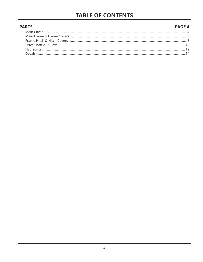## **TABLE OF CONTENTS**

#### **PAGE 4 PARTS**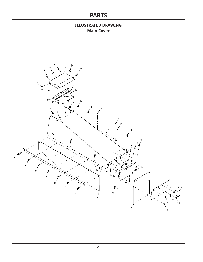#### **ILLUSTRATED DRAWING Main Cover**

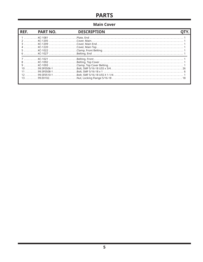#### **Main Cover**

| REF. | <b>PART NO.</b> | <b>DESCRIPTION</b> |  |
|------|-----------------|--------------------|--|
|      |                 |                    |  |
|      |                 |                    |  |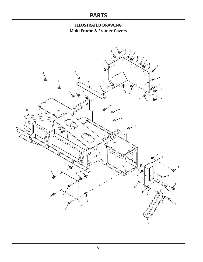#### **ILLUSTRATED DRAWING Main Frame & Framer Covers**

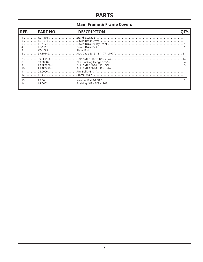#### **Main Frame & Frame Covers**

| REF. | <b>PART NO.</b> | <b>DESCRIPTION</b> |  |
|------|-----------------|--------------------|--|
|      |                 |                    |  |
|      |                 |                    |  |
|      |                 |                    |  |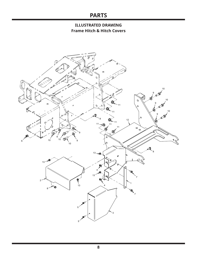#### **ILLUSTRATED DRAWING Frame Hitch & Hitch Covers**

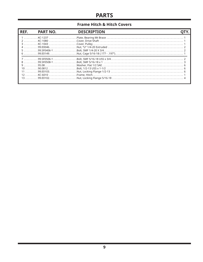#### **Frame Hitch & Hitch Covers**

| REF. | <b>PART NO.</b> | <b>DESCRIPTION</b> |  |
|------|-----------------|--------------------|--|
|      |                 |                    |  |
|      |                 |                    |  |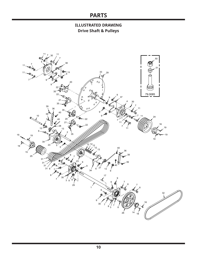**ILLUSTRATED DRAWING Drive Shaft & Pulleys**

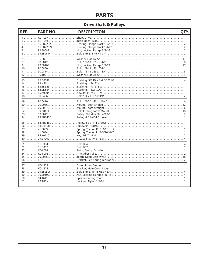#### **Drive Shaft & Pulleys**

| REF. | <b>PART NO.</b> | <b>DESCRIPTION</b>                                                                                                                        | QTY. |
|------|-----------------|-------------------------------------------------------------------------------------------------------------------------------------------|------|
|      |                 | $6 \ldots 99.5F0614-1 \ldots 10.5F0614-2 \ldots 10.5F06$ and $8.5F3/8-16 \times 1-3/4 \ldots 10.5F061$ and $2.5F0614-1.5F0614-2.5F0614-2$ |      |
|      |                 |                                                                                                                                           |      |
|      |                 |                                                                                                                                           |      |
|      |                 |                                                                                                                                           |      |
|      |                 |                                                                                                                                           |      |
|      |                 |                                                                                                                                           |      |
|      |                 |                                                                                                                                           |      |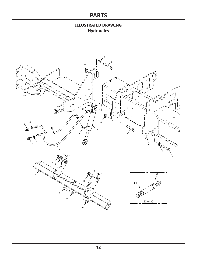#### **ILLUSTRATED DRAWING Hydraulics**

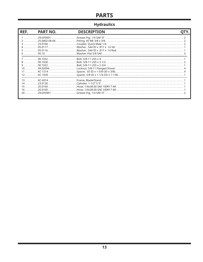### **Hydraulics**

| REF. | <b>PART NO.</b> | <b>DESCRIPTION</b>                                                              |  |
|------|-----------------|---------------------------------------------------------------------------------|--|
|      |                 |                                                                                 |  |
|      |                 |                                                                                 |  |
|      |                 | 15 …………20.0169………………………Hose, 1/4x38.00 SAE 100R17 AR……………………………………………………………………1 |  |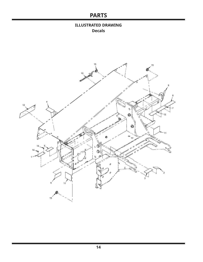#### **ILLUSTRATED DRAWING Decals**